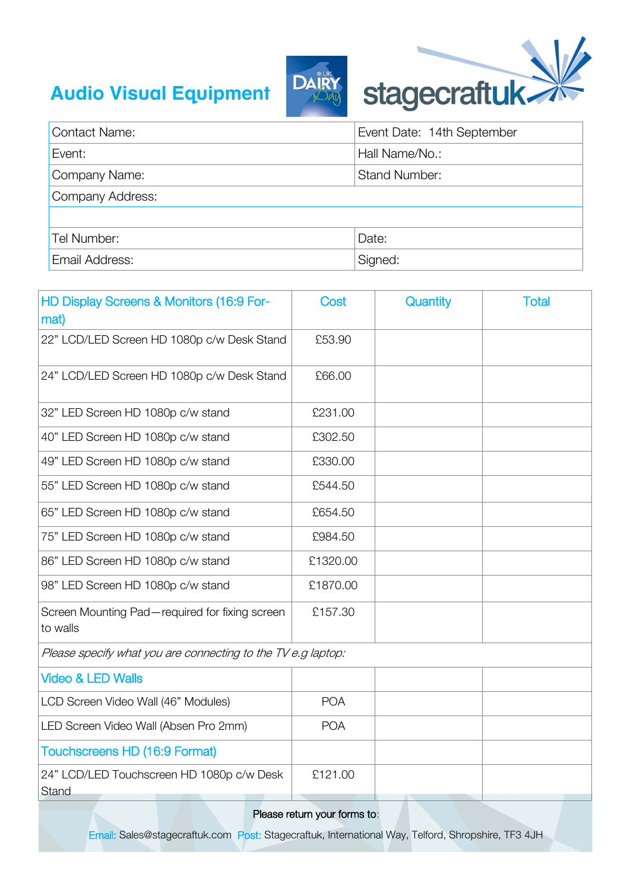## **Audio Visual Equipment**



| <b>Contact Name:</b> | Event Date: 14th September |  |  |
|----------------------|----------------------------|--|--|
| Event:               | Hall Name/No.:             |  |  |
| Company Name:        | <b>Stand Number:</b>       |  |  |
| Company Address:     |                            |  |  |
|                      |                            |  |  |
| Tel Number:          | Date:                      |  |  |
| Email Address:       | Signed:                    |  |  |

| HD Display Screens & Monitors (16:9 For-<br>mat)             | Cost       | Quantity | <b>Total</b> |  |  |  |
|--------------------------------------------------------------|------------|----------|--------------|--|--|--|
| 22" LCD/LED Screen HD 1080p c/w Desk Stand                   | £53.90     |          |              |  |  |  |
| 24" LCD/LED Screen HD 1080p c/w Desk Stand                   | £66.00     |          |              |  |  |  |
| 32" LED Screen HD 1080p c/w stand                            | £231.00    |          |              |  |  |  |
| 40" LED Screen HD 1080p c/w stand                            | £302.50    |          |              |  |  |  |
| 49" LED Screen HD 1080p c/w stand                            | £330.00    |          |              |  |  |  |
| 55" LED Screen HD 1080p c/w stand                            | £544.50    |          |              |  |  |  |
| 65" LED Screen HD 1080p c/w stand                            | £654.50    |          |              |  |  |  |
| 75" LED Screen HD 1080p c/w stand                            | £984.50    |          |              |  |  |  |
| 86" LED Screen HD 1080p c/w stand                            | £1320.00   |          |              |  |  |  |
| 98" LED Screen HD 1080p c/w stand                            | £1870.00   |          |              |  |  |  |
| Screen Mounting Pad-required for fixing screen<br>to walls   | £157.30    |          |              |  |  |  |
| Please specify what you are connecting to the TV e.g laptop: |            |          |              |  |  |  |
| <b>Video &amp; LED Walls</b>                                 |            |          |              |  |  |  |
| LCD Screen Video Wall (46" Modules)                          | <b>POA</b> |          |              |  |  |  |
| LED Screen Video Wall (Absen Pro 2mm)                        | <b>POA</b> |          |              |  |  |  |
| <b>Touchscreens HD (16:9 Format)</b>                         |            |          |              |  |  |  |
| 24" LCD/LED Touchscreen HD 1080p c/w Desk<br>Stand           | £121.00    |          |              |  |  |  |
| Diogoo roturn vour formo tou                                 |            |          |              |  |  |  |

Please return your forms to:

Email: Sales@stagecraftuk.com Post: Stagecraftuk, International Way, Telford, Shropshire, TF3 4JH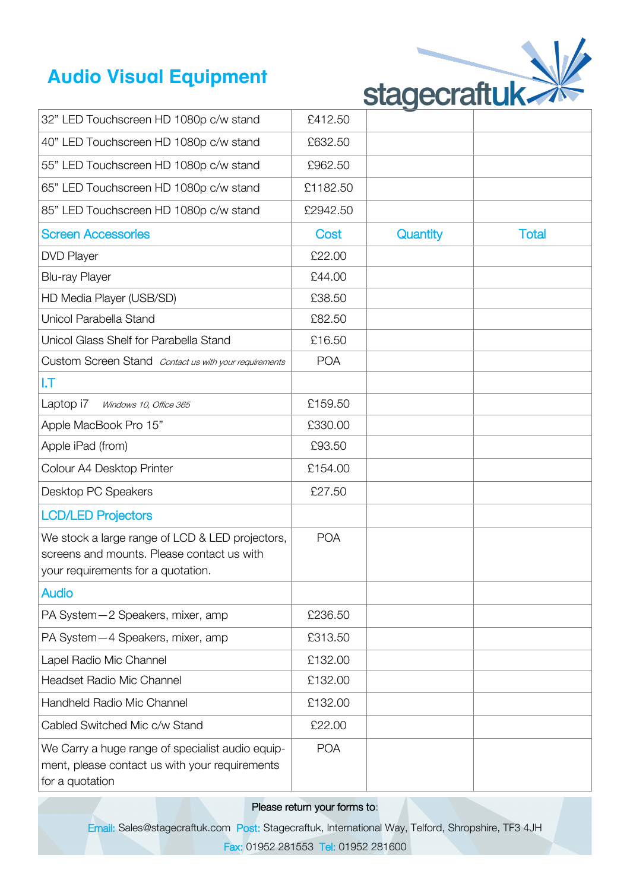## **Audio Visual Equipment**



| 32" LED Touchscreen HD 1080p c/w stand                                                                                              | £412.50    |          |              |
|-------------------------------------------------------------------------------------------------------------------------------------|------------|----------|--------------|
| 40" LED Touchscreen HD 1080p c/w stand                                                                                              | £632.50    |          |              |
| 55" LED Touchscreen HD 1080p c/w stand                                                                                              | £962.50    |          |              |
| 65" LED Touchscreen HD 1080p c/w stand                                                                                              | £1182.50   |          |              |
| 85" LED Touchscreen HD 1080p c/w stand                                                                                              | £2942.50   |          |              |
| <b>Screen Accessories</b>                                                                                                           | Cost       | Quantity | <b>Total</b> |
| <b>DVD Player</b>                                                                                                                   | £22.00     |          |              |
| <b>Blu-ray Player</b>                                                                                                               | £44.00     |          |              |
| HD Media Player (USB/SD)                                                                                                            | £38.50     |          |              |
| Unicol Parabella Stand                                                                                                              | £82.50     |          |              |
| Unicol Glass Shelf for Parabella Stand                                                                                              | £16.50     |          |              |
| Custom Screen Stand Contact us with your requirements                                                                               | <b>POA</b> |          |              |
| I.T                                                                                                                                 |            |          |              |
| Laptop i7<br>Windows 10, Office 365                                                                                                 | £159.50    |          |              |
| Apple MacBook Pro 15"                                                                                                               | £330.00    |          |              |
| Apple iPad (from)                                                                                                                   | £93.50     |          |              |
| Colour A4 Desktop Printer                                                                                                           | £154.00    |          |              |
| Desktop PC Speakers                                                                                                                 | £27.50     |          |              |
| <b>LCD/LED Projectors</b>                                                                                                           |            |          |              |
| We stock a large range of LCD & LED projectors,<br>screens and mounts. Please contact us with<br>your requirements for a quotation. | <b>POA</b> |          |              |
| <b>Audio</b>                                                                                                                        |            |          |              |
| PA System-2 Speakers, mixer, amp                                                                                                    | £236.50    |          |              |
| PA System - 4 Speakers, mixer, amp                                                                                                  | £313.50    |          |              |
| Lapel Radio Mic Channel                                                                                                             | £132.00    |          |              |
| Headset Radio Mic Channel                                                                                                           | £132.00    |          |              |
| Handheld Radio Mic Channel                                                                                                          | £132.00    |          |              |
| Cabled Switched Mic c/w Stand                                                                                                       | £22.00     |          |              |
| We Carry a huge range of specialist audio equip-<br>ment, please contact us with your requirements<br>for a quotation               | <b>POA</b> |          |              |

## Please return your forms to:

Email: Sales@stagecraftuk.com Post: Stagecraftuk, International Way, Telford, Shropshire, TF3 4JH Fax: 01952 281553 Tel: 01952 281600